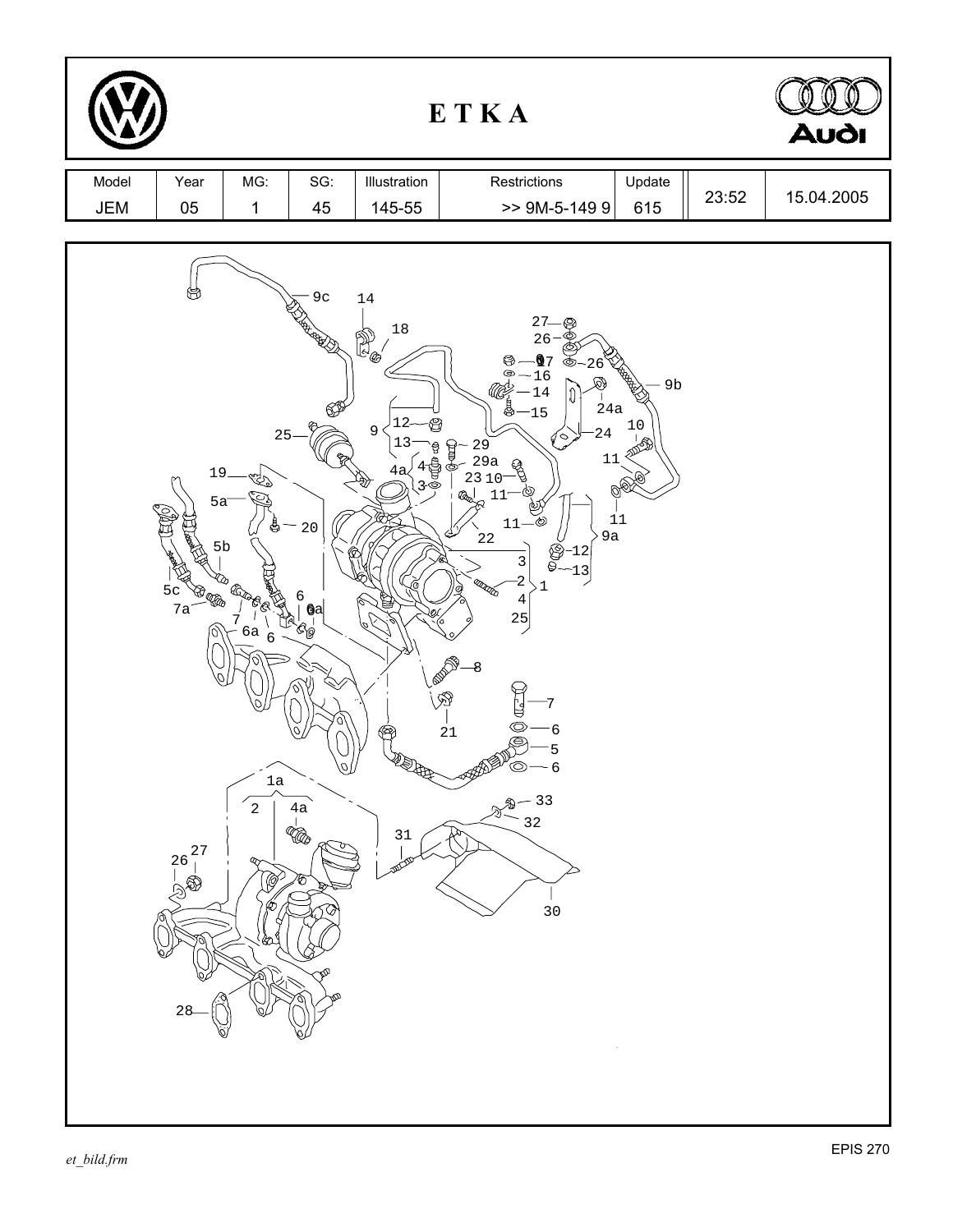| ETKA         |                                                                                                                                       |                                                                                                                                                   |                                                                                                                          |                                                                                                          | <b>Audi</b>                                                                                                                                                                                                                                                                                                                                                                                                                        |                                                             |       |            |
|--------------|---------------------------------------------------------------------------------------------------------------------------------------|---------------------------------------------------------------------------------------------------------------------------------------------------|--------------------------------------------------------------------------------------------------------------------------|----------------------------------------------------------------------------------------------------------|------------------------------------------------------------------------------------------------------------------------------------------------------------------------------------------------------------------------------------------------------------------------------------------------------------------------------------------------------------------------------------------------------------------------------------|-------------------------------------------------------------|-------|------------|
| Model<br>JEM | Year<br>$05\,$                                                                                                                        | MG:<br>$\mathbf{1}$                                                                                                                               | SG:<br>45                                                                                                                | Illustration<br>145-55                                                                                   | Restrictions<br>$>>$ 9M-5-149 9                                                                                                                                                                                                                                                                                                                                                                                                    | Update<br>615                                               | 23:52 | 15.04.2005 |
|              | 19.<br>$5a$ <sup>-</sup><br>$rac{1}{5}$ c<br>7a<br>$\bigoplus_{\mathcal{A}}\bigoplus_{\mathcal{B}}$<br><b>27</b><br>$^{26}_{1}$<br>28 | 25<br>rZ)<br>$5b$<br>۵<br><b>CLOBB</b><br>7<br>$6a_6$<br>$\begin{matrix} 2 \ 1 \end{matrix}$<br>$\overline{a}$<br>Q,<br>$\mathscr{G}^\prime$<br>6 | 9 <sub>c</sub><br><b>RECEIVED</b><br>$20$<br>6<br>6a<br>$\mathcal{C}_{\text{D}}$<br>⋓<br>$4\mathrm{a}$<br><b>G</b><br>45 | $14\,$<br>$18\,$<br>P)<br>C<br>12<br>$\mathsf 9$<br>T<br>Ō<br>❤<br><b>NEWS</b><br>$31\,$<br><b>DOCUM</b> | 27<br>26<br>$Q$ 7<br>⊛<br>26<br>⊜<br>$-16$<br>169<br>14<br>ſ<br>24a<br>$8 - 15$<br>24<br>◇<br>$29$<br>$29a$<br>$\frac{1}{2}$<br>11<br>୍ଥ<br>23 10<br>11<br>_්ලා<br>$11 -$<br>9a<br>$2\sqrt{2}$<br>$-12$<br>O<br>$\mathsf 3$<br>⊜<br>13<br>$-2$<br>ana dia<br>$\cdot$ 1<br>$\overline{4}$<br>25<br><b>1.000 AM</b><br>-8<br>$\otimes$<br>O<br>21<br>6<br>⊜<br>5<br>$\mathbb{P}^{\nu}$ © $-$ 6<br>$-33$<br>32<br>$\mathcal{D}$<br>30 | 9 <sub>b</sub><br>$10$<br>$\mathcal{O}_{\mathcal{C}}$<br>11 |       |            |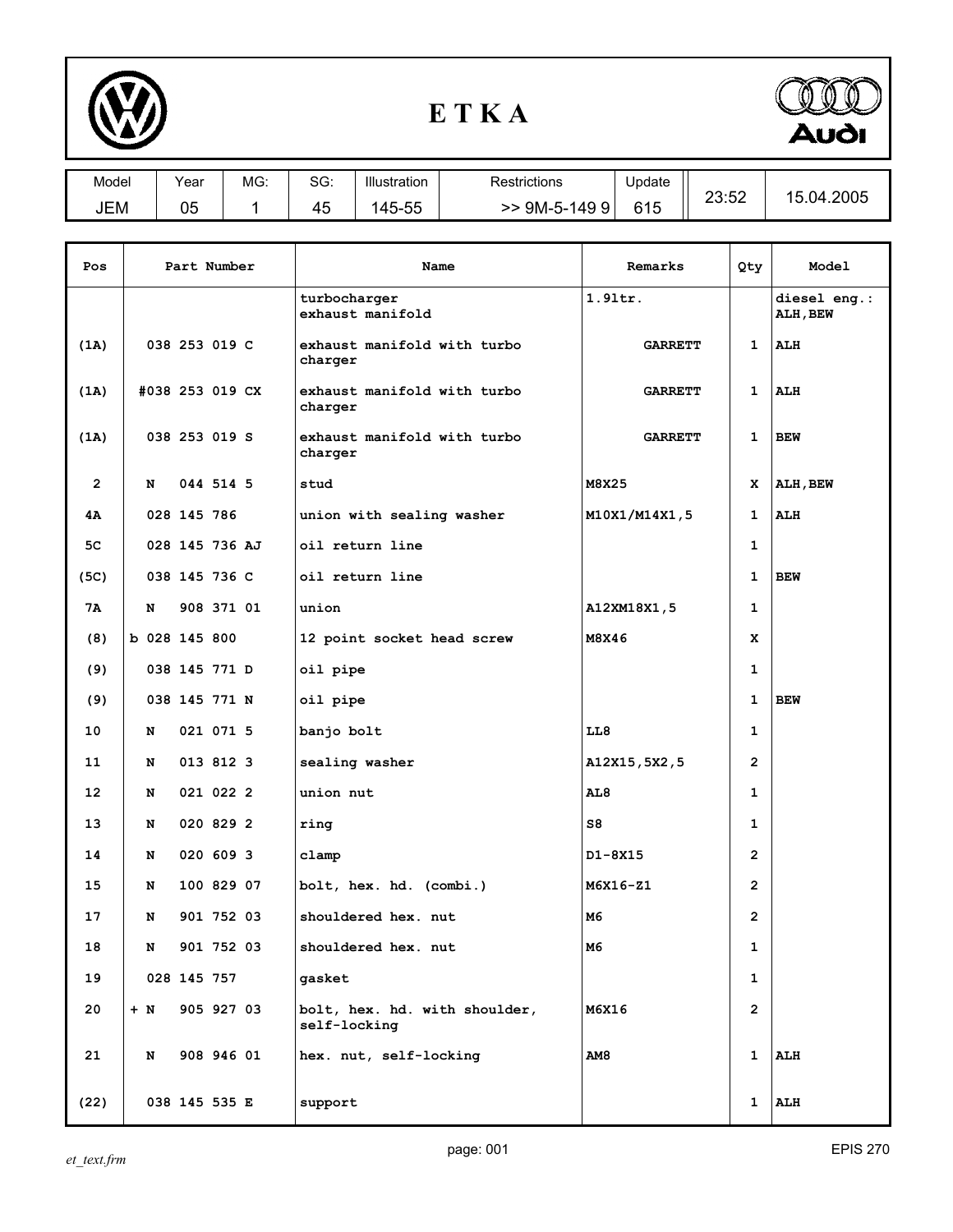

## **E T K A**



| Model | Year     | MG: | $\mathbf{c} \cap \mathbf{c}$<br>ას: | Illustration                             | Restrictions  | Update | つつ・よつ<br>20.02 |                     |
|-------|----------|-----|-------------------------------------|------------------------------------------|---------------|--------|----------------|---------------------|
| JEM   | ~-<br>Űċ |     | $\cdot$ .<br>45                     | --<br>$\overline{\phantom{a}}$<br>145-55 | 9M-5-149<br>ч | 615    |                | .2005<br>.04<br>15. |

| Pos            | Part Number     |            | Name                                          | Remarks        | Qty            | Model                    |
|----------------|-----------------|------------|-----------------------------------------------|----------------|----------------|--------------------------|
|                |                 |            | turbocharger<br>exhaust manifold              | 1.91tr.        |                | diesel eng.:<br>ALH, BEW |
| (1A)           | 038 253 019 C   |            | exhaust manifold with turbo<br>charger        | <b>GARRETT</b> | 1              | <b>ALH</b>               |
| (1A)           | #038 253 019 CX |            | exhaust manifold with turbo<br>charger        | <b>GARRETT</b> | 1              | ALH                      |
| (1A)           | 038 253 019 S   |            | exhaust manifold with turbo<br>charger        | <b>GARRETT</b> | 1              | <b>BEW</b>               |
| $\overline{2}$ | 044 514 5<br>N  |            | stud                                          | M8X25          | x              | ALH, BEW                 |
| 4Α             | 028 145 786     |            | union with sealing washer                     | M10X1/M14X1,5  | $\mathbf{1}$   | <b>ALH</b>               |
| 5C             | 028 145 736 AJ  |            | oil return line                               |                | 1              |                          |
| (5C)           | 038 145 736 C   |            | oil return line                               |                | 1              | <b>BEW</b>               |
| 7Α             | N               | 908 371 01 | union                                         | A12XM18X1,5    | 1              |                          |
| (8)            | b 028 145 800   |            | 12 point socket head screw                    | M8X46          | x              |                          |
| (9)            | 038 145 771 D   |            | oil pipe                                      |                | $\mathbf{1}$   |                          |
| (9)            | 038 145 771 N   |            | oil pipe                                      |                | 1              | <b>BEW</b>               |
| 10             | 021 071 5<br>N  |            | banjo bolt                                    | LL8            | 1              |                          |
| 11             | 013 812 3<br>N  |            | sealing washer                                | A12X15, 5X2, 5 | $\overline{2}$ |                          |
| 12             | 021 022 2<br>N  |            | union nut                                     | AL8            | 1              |                          |
| 13             | 020 829 2<br>N  |            | ring                                          | S8             | $\mathbf{1}$   |                          |
| 14             | 020 609 3<br>N  |            | clamp                                         | D1-8X15        | $\overline{2}$ |                          |
| 15             | N               | 100 829 07 | bolt, hex. hd. (combi.)                       | M6X16-Z1       | $\overline{2}$ |                          |
| 17             | N               | 901 752 03 | shouldered hex. nut                           | M6             | $\overline{2}$ |                          |
| 18             | N               | 901 752 03 | shouldered hex. nut                           | M6             | 1              |                          |
| 19             | 028 145 757     |            | qasket                                        |                | $\mathbf{1}$   |                          |
| 20             | $+ N$           | 905 927 03 | bolt, hex. hd. with shoulder,<br>self-locking | <b>M6X16</b>   | $\overline{2}$ |                          |
| 21             | N               | 908 946 01 | hex. nut, self-locking                        | <b>AM8</b>     | 1              | ALH                      |
| (22)           | 038 145 535 E   |            | support                                       |                | 1              | ALH                      |